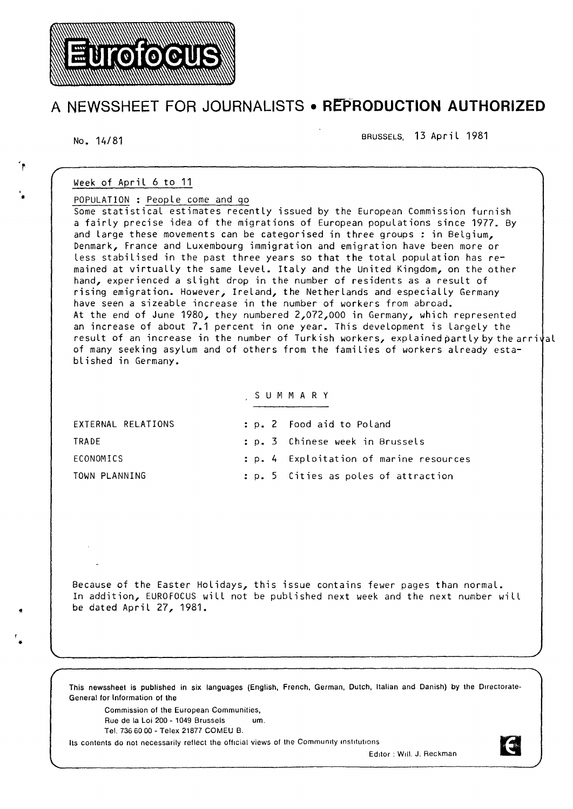# A NEWSSHEET FOR JOURNALISTS • R**EPRODUCTION AUTHORIZED**  $\overline{R}$  and  $\overline{R}$  and  $\overline{R}$  are the contract of the contract of the contract of the contract of the contract of the contract of the contract of the contract of the contract of the contract of the contract of the co

No. 14/81

' •

r • BRUSSELS, 13 April 1981

# Week of April 6 to 11

**Eurofocus** 

POPULATION : People come and go

Some statistical estimates recently issued by the European Commission furnish a fairly precise idea of the migrations of European populations since 1977. By and large these movements can be categorised in three groups : in Belgium, Denmark, France and Luxembourg immigration and emigration have been more or less stabilised in the past three years so that the total population has remained at virtually the same Level. Italy and the United Kingdom, on the other hand, experienced a slight drop in the number of residents as a result of rising emigration. However, Ireland, the Netherlands and especially Germany have seen a sizeable increase in the number of workers from abroad. At the end of June 1980, they numbered 2,072,000 in Germany, which represented an increase of about 7.1 percent in one year. This development is largely the result of an increase in the number of Turkish workers, explained partly by the arrival of many seeking asylum and of others from the families of workers already established in Germany.

# s U M M A R y

| EXTERNAL RELATIONS | : p. 2 Food aid to Poland               |
|--------------------|-----------------------------------------|
| TRADE              | : p. 3 Chinese week in Brussels         |
| ECONOMICS          | : p. 4 Exploitation of marine resources |
| TOWN PLANNING      | : p. 5 Cities as poles of attraction    |

Because of the Easter Holidays, this issue contains fewer pages than normal. In addition, EUROFOCUS will not be published next week and the next number will be dated April 27, 1981.

This newssheet is published in six languages (English, French, German, Dutch, Italian and Danish) by the Directorate-General for Information of the

Commission of the European Communities,

Rue de la Loi 200 - 1049 Brussels um.

Tel. 736 60 00 -Telex 21877 COMEU B.

Its contents do not necessarily reflect the official views of the Community institutions

Editor : Will. J. Reckman

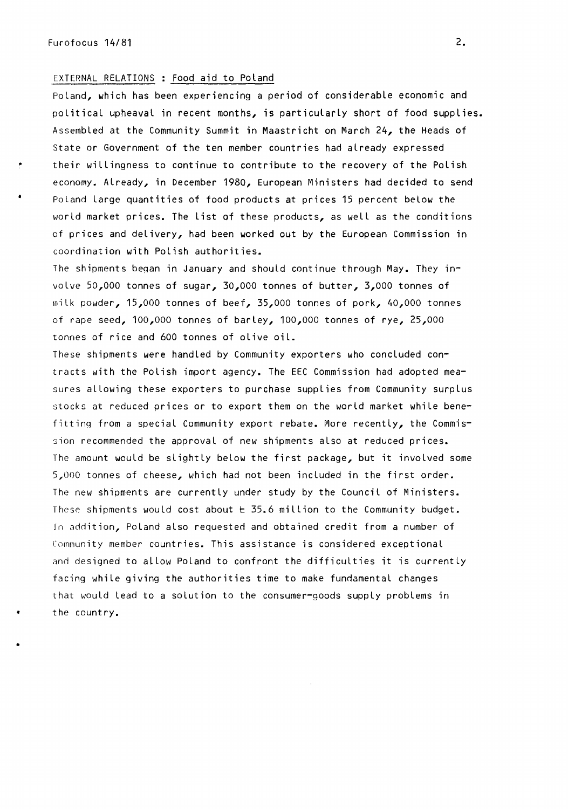## EXTERNAL RELATIONS : Food aid to Poland

Poland, which has been experiencing a period of considerable economic and political upheaval in recent months, is particularly short of food supplies. Assembled at the Community Summit in Maastricht on March 24, the Heads of State or Government of the ten member countries had already expressed their willingness to continue to contribute to the recovery of the Polish economy. Already, in December 1980, European Ministers had decided to send Poland large quantities of food products at prices 15 percent below the world market prices. The list of these products, as well as the conditions of prices and delivery, had been worked out by the European Commission in coordination with Polish authorities.

The shipments beqan in January and should continue through May. They involve 50,000 tonnes of sugar, 30,000 tonnes of butter, 3,000 tonnes of rnilk powder, 15,000 tonnes of beef, 35,000 tonnes of pork, 40,000 tonnes of rape seed, 100,000 tonnes of barley, 100,000 tonnes of rye, 25,000 tonnes of rice and 600 tonnes of olive oil.

These shipments were handled by Community exporters who concluded contracts with the Polish import agency. The EEC Commission had adopted measures allowing these exporters to purchase supplies from Community surplus stocks at reduced prices or to export them on the world market while benefitting from a special Community export rebate. More recently, the Commission recommended the approval of new shipments also at reduced prices. The amount would be slightly below the first package, but it involved some 5,000 tonnes of cheese, which had not been included in the first order. The new shipments are currently under study by the Council of Ministers. These shipments would cost about  $\pm$  35.6 million to the Community budget. Jn addition, Poland also requested and obtained credit from a number of Community member countries. This assistance is considered exceptional and designed to allow Poland to confront the difficulties it is currently facing while giving the authorities time to make fundamental changes that would Lead to a solution to the consumer-goods supply problems in the country.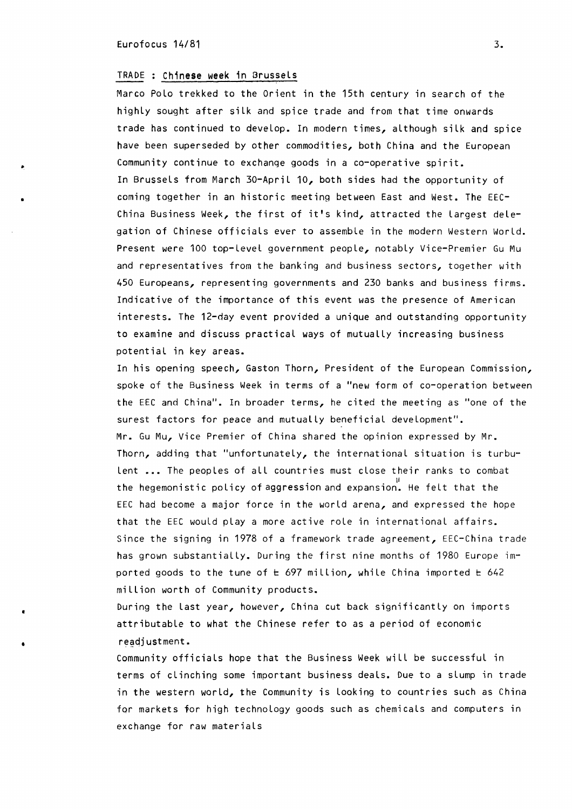#### $\frac{1}{3}$  Eurofocus 14/81  $\frac{3}{3}$

•

•

#### TRADE ; Chinese week in Brussels

Marco Polo trekked to the Orient in the 15th century in search of the highly sought after silk and spice trade and from that time onwards trade has continued to develop. In modern times, although silk and spice have been superseded by other commodities, both China and the European Community continue to exchange goods in a co-operative spirit. In Brussels from March 30-April 10, both sides had the opportunity of coming together in an historic meeting between East and West. The EEC-China Business Week, the first of it's kind, attracted the Largest delegation of Chinese officials ever to assemble in the modern Western World. Present were 100 top-Level government people, notably Vice-Premier Gu Mu and representatives from the banking and business sectors, together with 450 Europeans, representing governments and 230 banks and business firms. Indicative of the importance of this event was the presence of American interests. The 12-day event provided a unique and outstanding opportunity to examine and discuss practical ways of mutually increasing business potential in key areas.

In his opening speech, Gaston Thorn, President of the European Commission, spoke of the Business Week in terms of a "new form of co-operation between the EEC and China". In broader terms, he cited the meeting as "one of the surest factors for peace and mutually beneficial development". Mr. Gu Mu, Vice Premier of China shared the opinion expressed by Mr. Thorn, adding that "unfortunately, the international situation is turbulent ... The peoples of all countries must close their ranks to combat II the hegemonistic policy of aggression and expansion. He felt that the EEC had become a major force in the world arena, and expressed the hope that the EEC would play a more active role in international affairs. Since the signing in 1978 of a framework trade agreement, EEC-China trade has grown substantially. During the first nine months of 1980 Europe imported goods to the tune of  $t \leq 697$  million, while China imported  $t \leq 642$ million worth of Community products.

During the Last year, however, China cut back significantly on imports attributable to what the Chinese refer to as a period of economic readjustment.

Community officials hope that the Business Week will be successful in terms of clinching some important business deals. Due to a slump in trade in the western world, the Community is Looking to countries such as China for markets for high technology goods such as chemicals and computers in exchange for raw materials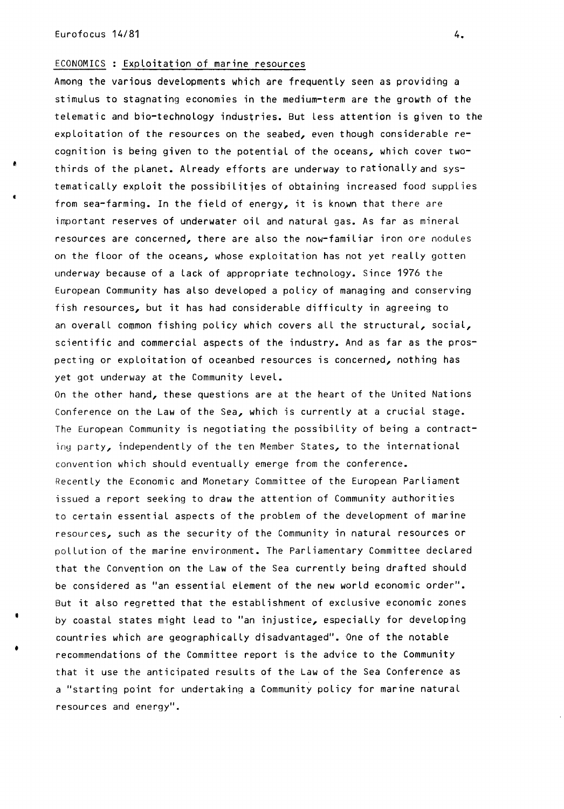•

•

# ECONOMICS : Exploitation of marine resources

Among the various developments which are frequently seen as providing a stimulus to stagnating economies in the medium-term are the growth of the telematic and bio-technology industries. But less attention is given to the exploitation of the resources on the seabed, even though considerable recognition is being given to the potential of the oceans, which cover twothirds of the planet. Already efforts are underway to rationally and systematically exploit the possibilities of obtaining increased food supplies from sea-farming. In the field of energy, it is known that there are important reserves of underwater oil and natural gas. As far as mineral resources are concerned, there are also the now-familiar iron ore nodules on the floor of the oceans, whose exploitation has not yet really gotten underway because of a lack of appropriate technology. Since 1976 the European Community has also developed a policy of managing and conserving fish resources, but it has had considerable difficulty in agreeing to an overall common fishing policy which covers all the structural, social, scientific and commercial aspects of the industry. And as far as the prospecting or exploitation of oceanbed resources is concerned, nothing has yet got underway at the Community level.

On the other hand, these questions are at the heart of the United Nations Conference on the Law of the Sea, which is currently at a crucial stage. The European Community is negotiating the possibility of being a contractiny party, independently of the ten Member States, to the international convention which should eventually emerge from the conference. Recently the Economic and Monetary Committee of the European Parliament issued a report seeking to draw the attention of Community authorities to certain essential aspects of the problem of the development of marine resources, such as the security of the Community in natural resources or pollution of the marine environment. The Parliamentary Committee declared that the Convention on the Law of the Sea currently being drafted should be considered as "an essential element of the new world economic order". But it also regretted that the establishment of exclusive economic zones by coastal states might Lead to "an injustice, especially for developing countries which are geographically disadvantaged". One of the notable recommendations of the Committee report is the advice to the Community that it use the anticipated results of the Law of the Sea Conference as a "starting point for undertaking a Community policy for marine natural resources and energy".